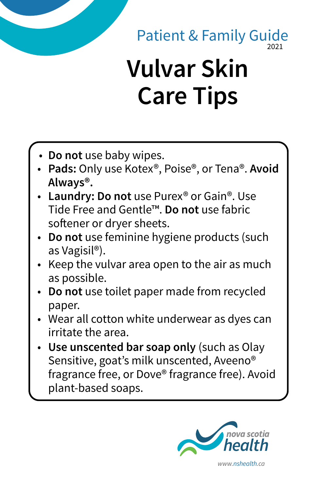#### 2021 Patient & Family Guide

# **Vulvar Skin Care Tips**

- **Do not** use baby wipes.
- **Pads:** Only use Kotex®, Poise®, or Tena®. **Avoid Always®.**
- **Laundry: Do not** use Purex® or Gain®. Use Tide Free and Gentle™. **Do not** use fabric softener or dryer sheets.
- **Do not** use feminine hygiene products (such as Vagisil®).
- Keep the vulvar area open to the air as much as possible.
- **Do not** use toilet paper made from recycled paper.
- Wear all cotton white underwear as dyes can irritate the area.
- **Use unscented bar soap only** (such as Olay Sensitive, goat's milk unscented, Aveeno® fragrance free, or Dove® fragrance free). Avoid plant-based soaps.



*www.nshealth.ca*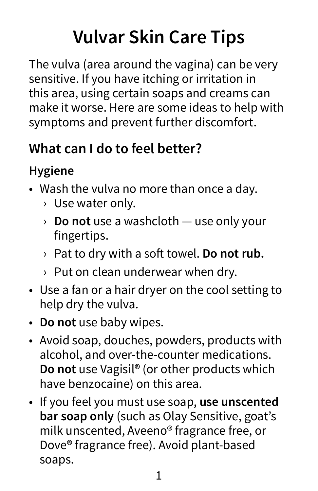## **Vulvar Skin Care Tips**

The vulva (area around the vagina) can be very sensitive. If you have itching or irritation in this area, using certain soaps and creams can make it worse. Here are some ideas to help with symptoms and prevent further discomfort.

#### **What can I do to feel better?**

#### **Hygiene**

- Wash the vulva no more than once a day.
	- › Use water only.
	- › **Do not** use a washcloth use only your fingertips.
	- › Pat to dry with a soft towel. **Do not rub.**
	- › Put on clean underwear when dry.
- Use a fan or a hair dryer on the cool setting to help dry the vulva.
- **Do not** use baby wipes.
- Avoid soap, douches, powders, products with alcohol, and over-the-counter medications. **Do not** use Vagisil® (or other products which have benzocaine) on this area.
- If you feel you must use soap, **use unscented bar soap only** (such as Olay Sensitive, goat's milk unscented, Aveeno® fragrance free, or Dove® fragrance free). Avoid plant-based soaps.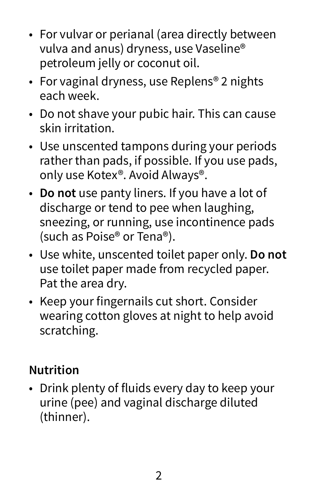- For vulvar or perianal (area directly between vulva and anus) dryness, use Vaseline® petroleum jelly or coconut oil.
- For vaginal dryness, use Replens<sup>®</sup> 2 nights each week.
- Do not shave your pubic hair. This can cause skin irritation.
- Use unscented tampons during your periods rather than pads, if possible. If you use pads, only use Kotex®. Avoid Always®.
- **Do not** use panty liners. If you have a lot of discharge or tend to pee when laughing, sneezing, or running, use incontinence pads (such as Poise® or Tena®).
- Use white, unscented toilet paper only. **Do not** use toilet paper made from recycled paper. Pat the area dry.
- Keep your fingernails cut short. Consider wearing cotton gloves at night to help avoid scratching.

#### **Nutrition**

• Drink plenty of fluids every day to keep your urine (pee) and vaginal discharge diluted (thinner).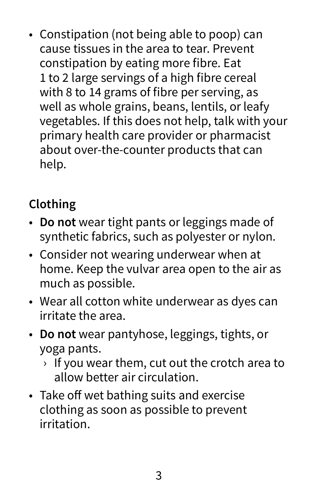• Constipation (not being able to poop) can cause tissues in the area to tear. Prevent constipation by eating more fibre. Eat 1 to 2 large servings of a high fibre cereal with 8 to 14 grams of fibre per serving, as well as whole grains, beans, lentils, or leafy vegetables. If this does not help, talk with your primary health care provider or pharmacist about over-the-counter products that can help.

#### **Clothing**

- **Do not** wear tight pants or leggings made of synthetic fabrics, such as polyester or nylon.
- Consider not wearing underwear when at home. Keep the vulvar area open to the air as much as possible.
- Wear all cotton white underwear as dyes can irritate the area.
- **Do not** wear pantyhose, leggings, tights, or yoga pants.
	- $\rightarrow$  If you wear them, cut out the crotch area to allow better air circulation.
- Take off wet bathing suits and exercise clothing as soon as possible to prevent irritation.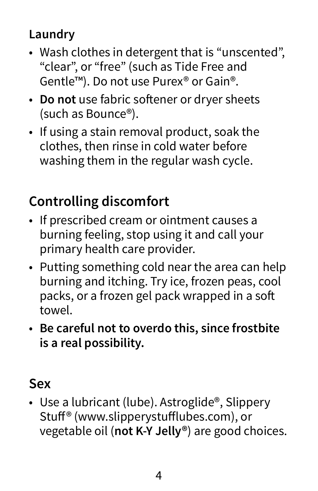#### **Laundry**

- Wash clothes in detergent that is "unscented", "clear", or "free" (such as Tide Free and Gentle™). Do not use Purex® or Gain®.
- **Do not** use fabric softener or dryer sheets (such as Bounce®).
- If using a stain removal product, soak the clothes, then rinse in cold water before washing them in the regular wash cycle.

### **Controlling discomfort**

- If prescribed cream or ointment causes a burning feeling, stop using it and call your primary health care provider.
- Putting something cold near the area can help burning and itching. Try ice, frozen peas, cool packs, or a frozen gel pack wrapped in a soft towel.
- **Be careful not to overdo this, since frostbite is a real possibility.**

#### **Sex**

• Use a lubricant (lube). Astroglide®, Slippery Stuff® (www.slipperystufflubes.com), or vegetable oil (**not K-Y Jelly®**) are good choices.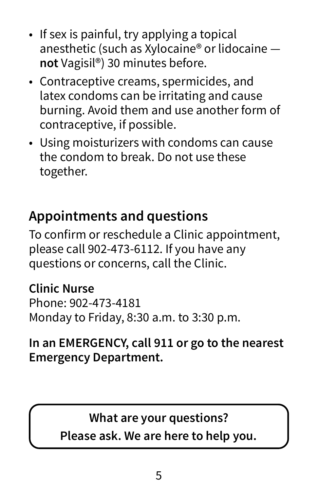- If sex is painful, try applying a topical anesthetic (such as Xylocaine® or lidocaine **not** Vagisil®) 30 minutes before.
- Contraceptive creams, spermicides, and latex condoms can be irritating and cause burning. Avoid them and use another form of contraceptive, if possible.
- Using moisturizers with condoms can cause the condom to break. Do not use these together.

#### **Appointments and questions**

To confirm or reschedule a Clinic appointment, please call 902-473-6112. If you have any questions or concerns, call the Clinic.

**Clinic Nurse**  Phone: 902-473-4181 Monday to Friday, 8:30 a.m. to 3:30 p.m.

**In an EMERGENCY, call 911 or go to the nearest Emergency Department.**

#### **What are your questions?**

**Please ask. We are here to help you.**